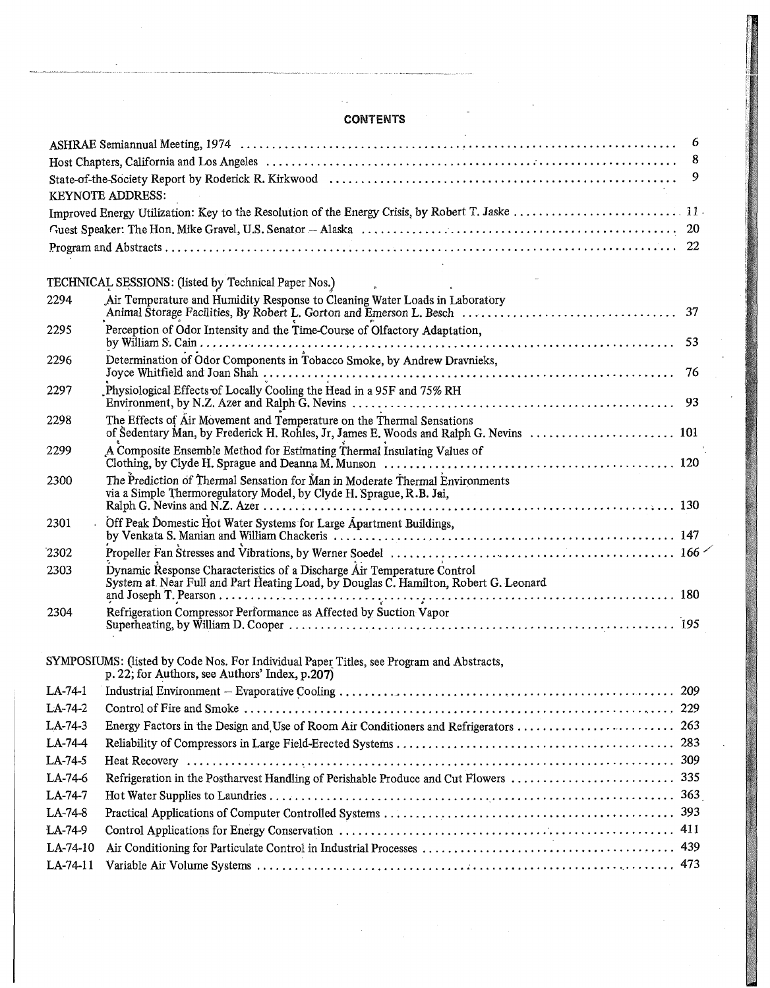## **CONTENTS**

|            |                                                                                                                                            | 6   |
|------------|--------------------------------------------------------------------------------------------------------------------------------------------|-----|
|            |                                                                                                                                            | 8   |
|            |                                                                                                                                            | 9   |
|            | <b>KEYNOTE ADDRESS:</b>                                                                                                                    |     |
|            |                                                                                                                                            |     |
|            |                                                                                                                                            |     |
|            |                                                                                                                                            |     |
|            | TECHNICAL SESSIONS: (listed by Technical Paper Nos.)                                                                                       |     |
| 2294       | Air Temperature and Humidity Response to Cleaning Water Loads in Laboratory                                                                |     |
|            |                                                                                                                                            |     |
| 2295       | Perception of Odor Intensity and the Time-Course of Olfactory Adaptation,                                                                  |     |
|            |                                                                                                                                            |     |
| 2296       | Determination of Odor Components in Tobacco Smoke, by Andrew Dravnieks,                                                                    | -76 |
|            | Physiological Effects of Locally Cooling the Head in a 95F and 75% RH                                                                      |     |
| 2297       |                                                                                                                                            |     |
| 2298       | The Effects of Air Movement and Temperature on the Thermal Sensations                                                                      |     |
|            | of Sedentary Man, by Frederick H. Rohles, Jr, James E. Woods and Ralph G. Nevins  101                                                      |     |
| 2299       | A Composite Ensemble Method for Estimating Thermal Insulating Values of                                                                    |     |
| 2300       | The Prediction of Thermal Sensation for Man in Moderate Thermal Environments                                                               |     |
|            | via a Simple Thermoregulatory Model, by Clyde H. Sprague, R.B. Jai,                                                                        |     |
| 2301       | Off Peak Domestic Hot Water Systems for Large Apartment Buildings,                                                                         |     |
|            |                                                                                                                                            |     |
| 2302       |                                                                                                                                            |     |
| 2303       | Dynamic Response Characteristics of a Discharge Air Temperature Control                                                                    |     |
|            | System at Near Full and Part Heating Load, by Douglas C. Hamilton, Robert G. Leonard                                                       |     |
| 2304       | Refrigeration Compressor Performance as Affected by Suction Vapor                                                                          |     |
|            |                                                                                                                                            |     |
|            |                                                                                                                                            |     |
|            | SYMPOSIUMS: (listed by Code Nos. For Individual Paper Titles, see Program and Abstracts,<br>p. 22; for Authors, see Authors' Index, p.207) |     |
| $LA-74-1$  |                                                                                                                                            |     |
| LA-74-2    |                                                                                                                                            |     |
| LA-74-3    | Energy Factors in the Design and Use of Room Air Conditioners and Refrigerators  263                                                       |     |
| LA-74-4    |                                                                                                                                            |     |
| LA-74-5    |                                                                                                                                            |     |
| LA-74-6    |                                                                                                                                            |     |
| LA-74-7    |                                                                                                                                            |     |
| LA-74-8    |                                                                                                                                            |     |
| LA-74-9    |                                                                                                                                            |     |
| LA-74-10   |                                                                                                                                            |     |
| $LA-74-11$ |                                                                                                                                            |     |